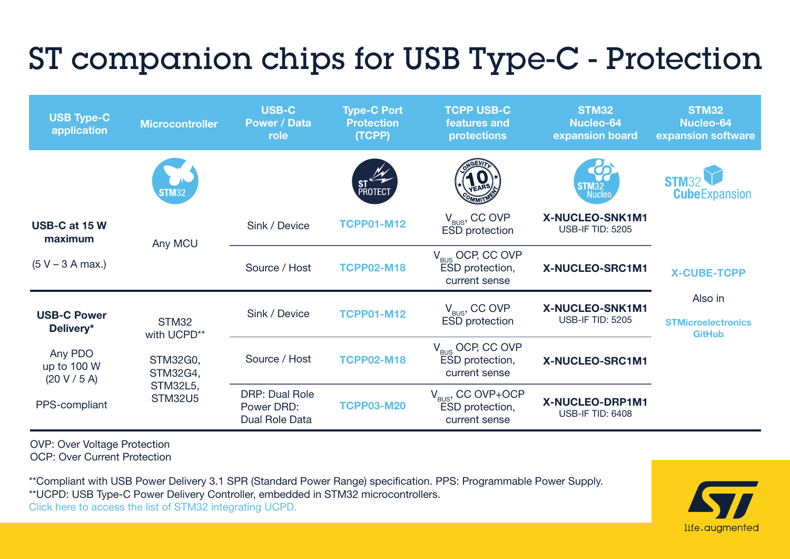## ST companion chips for USB Type-C - Protection



OVP: Over Voltage Protection OCP: Over Current Protection

\*\*Compliant with USB Power Delivery 3.1 SPR (Standard Power Range) specification. PPS: Programmable Power Supply. \*\*UCPD: USB Type-C Power Delivery Controller, embedded in STM32 microcontrollers. Click here to access the list of STM32 integrating UCPD.